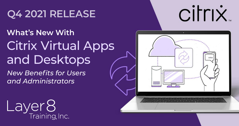#### **What's New With** Citrix Virtual Apps and Desktops

#### **Q4 2021 RELEASE**

*New Benefits for Users and Administrators*

Layer8<br>Training.Inc.

# cifrix.

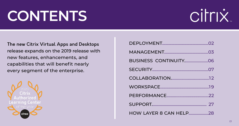### **CONTENTS**

The new Citrix Virtual Apps and Desktops release expands on the 2019 release with new features, enhancements, and capabilities that will benefit nearly every segment of the enterprise.



DEPLOYMENT................. MANAGEMENT............... BUSINESS CONTINUIT SECURITY........................... COLLABORATION......... WORKSPACE................... PERFORMANCE............ SUPPORT.............................. HOW LAYER 8 CAN H

## Citrix.

| TY06  |  |
|-------|--|
|       |  |
|       |  |
|       |  |
| 22    |  |
|       |  |
| ELP28 |  |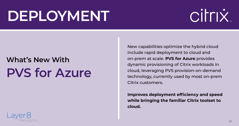#### **What's New With PVS for Azure**

New capabilities optimize the hybrid cloud include rapid deployment to cloud and on-prem at scale. **PVS for Azure** provides dynamic provisioning of Citrix workloads in cloud, leveraging PVS provision-on-demand technology, currently used by most on-prem Citrix customers.

**Improves deployment efficiency and speed while bringing the familiar Citrix toolset to cloud.**



# Cirrix.

#### <span id="page-2-0"></span>**DEPLOYMENT**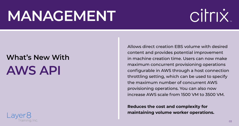#### **What's New With AWS API**



Allows direct creation EBS volume with desired content and provides potential improvement in machine creation time. Users can now make maximum concurrent provisioning operations configurable in AWS through a host connection throttling setting, which can be used to specify the maximum number of concurrent AWS provisioning operations. You can also now increase AWS scale from 1500 VM to 3500 VM.

**Reduces the cost and complexity for maintaining volume worker operations.**

# Cirrix.

#### <span id="page-3-0"></span>**MANAGEMENT**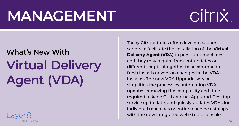#### **What's New With Virtual Delivery Agent (VDA)**



Today Citrix admins often develop custom scripts to facilitate the installation of the **Virtual Delivery Agent (VDA**) to persistent machines, and they may require frequent updates or different scripts altogether to accommodate fresh installs or version changes in the VDA installer. The new VDA Upgrade service simplifies the process by automating VDA updates, removing the complexity and time required to keep Citrix Virtual Apps and Desktop service up to date, and quickly updates VDAs for individual machines or entire machine catalogs with the new integrated web studio console.

# **Cirrix**

#### **MANAGEMENT**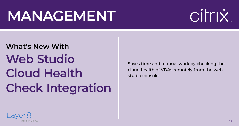#### **What's New With Web Studio Cloud Health Check Integration**

Saves time and manual work by checking the cloud health of VDAs remotely from the web studio console.



## Cirrix.

#### **MANAGEMENT**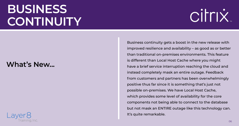#### **What's New...**



Business continuity gets a boost in the new release with improved resilience and availability – as good as or better than traditional on-premises environments. This feature is different than Local Host Cache where you might have a brief service interruption reaching the cloud and instead completely mask an entire outage. Feedback from customers and partners has been overwhelmingly positive thus far since it is something that's just not possible on-premises. We have Local Host Cache, which provides some level of availability for the core components not being able to connect to the database but not mask an ENTIRE outage like this technology can. It's quite remarkable.

# Cirrix.

#### <span id="page-6-0"></span>**BUSINESS CONTINUITY**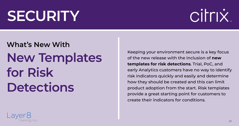#### <span id="page-7-0"></span>**What's New With New Templates for Risk Detections**



Keeping your environment secure is a key focus of the new release with the inclusion of **new templates for risk detections**. Trial, PoC, and early Analytics customers have no way to identify risk indicators quickly and easily and determine how they should be created and this can limit product adoption from the start. Risk templates provide a great starting point for customers to create their indicators for conditions.

# Cirrix.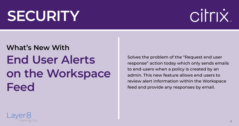#### **What's New With End User Alerts on the Workspace Feed**



Solves the problem of the "Request end user response" action today which only sends emails to end-users when a policy is created by an admin. This new feature allows end users to review alert information within the Workspace feed and provide any responses by email.

# Cirrix.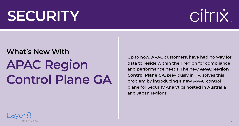#### **What's New With APAC Region Control Plane GA**



Up to now, APAC customers, have had no way for data to reside within their region for compliance and performance needs. The new **APAC Region Control Plane GA**, previously in TP, solves this problem by introducing a new APAC control plane for Security Analytics hosted in Australia and Japan regions.

# Cirrix.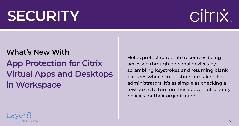#### **What's New With App Protection for Citrix Virtual Apps and Desktops in Workspace**



Helps protect corporate resources being accessed through personal devices by scrambling keystrokes and returning blank pictures when screen shots are taken. For administrators, it's as simple as checking a policies for their organization.

# Cirrix.

- 
- 
- 
- 
- 
- few boxes to turn on these powerful security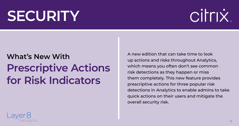#### **What's New With Prescriptive Actions for Risk Indicators**



A new edition that can take time to look up actions and risks throughout Analytics, which means you often don't see common risk detections as they happen or miss them completely. This new feature provides prescriptive actions for three popular risk detections in Analytics to enable admins to take quick actions on their users and mitigate the overall security risk.

# Cirrix.

- 
- 
- 
- 
- 
- 
- 
-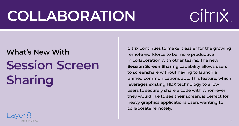#### <span id="page-12-0"></span>**What's New With Session Screen Sharing**



Citrix continues to make it easier for the growing remote workforce to be more productive in collaboration with other teams. The new **Session Screen Sharing** capability allows users to screenshare without having to launch a unified communications app. This feature, which leverages existing HDX technology to allow users to securely share a code with whomever they would like to see their screen, is perfect for heavy graphics applications users wanting to collaborate remotely.

# Cirrix.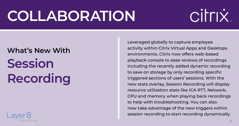#### **What's New With Session Recording**



Leveraged globally to capture employee activity within Citrix Virtual Apps and Desktops environments. Citrix now offers web-based playback console to ease reviews of recordings including the recently added dynamic recording to save on storage by only recording specific triggered sections of users' sessions. With the new stats overlay, Session Recording will display resource utilization stats like ICA RTT, Network, CPU and memory when playing back recordings to help with troubleshooting. You can also now take advantage of the new triggers within session recording to start recording dynamically.

# Cirrix.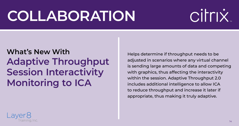#### **What's New With Adaptive Throughput Session Interactivity Monitoring to ICA**



is sending large amounts of data and competing

Helps determine if throughput needs to be adjusted in scenarios where any virtual channel with graphics, thus affecting the interactivity within the session. Adaptive Throughput 2.0 includes additional intelligence to allow ICA to reduce throughput and increase it later if appropriate, thus making it truly adaptive.

# Cirrix.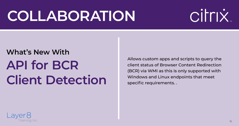#### **What's New With API for BCR Client Detection**

Allows custom apps and scripts to query the client status of Browser Content Redirection (BCR) via WMI as this is only supported with Windows and Linux endpoints that meet specific requirements. .



# Cirrix.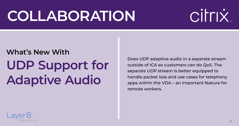#### **What's New With UDP Support for Adaptive Audio**



Does UDP adaptive audio in a separate stream outside of ICA so customers can do QoS. The separate UDP stream is better equipped to handle packet loss and use cases for telephony apps within the VDA – an important feature for remote workers.

# Cirrix.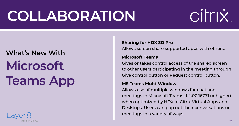#### **What's New With Microsoft Teams App**



#### **Sharing for HDX 3D Pro**

Allows screen share supported apps with others.

#### **Microsoft Teams**

Gives or takes control access of the shared screen to other users participating in the meeting through Give control button or Request control button.

#### **MS Teams Multi-Window**

Allows use of multiple windows for chat and meetings in Microsoft Teams (1.4.00.16771 or higher) when optimized by HDX in Citrix Virtual Apps and Desktops. Users can pop out their conversations or meetings in a variety of ways.

# Cirrix.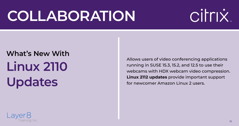#### **What's New With Linux 2110 Updates**



Allows users of video conferencing applications running in SUSE 15.3, 15.2, and 12.5 to use their webcams with HDX webcam video compression. **Linux 2112 updates** provide important support for newcomer Amazon Linux 2 users.

# Cirrix.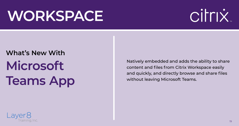Natively embedded and adds the ability to share content and files from Citrix Workspace easily and quickly, and directly browse and share files without leaving Microsoft Teams.

## Citrix.

### <span id="page-19-0"></span>**WORKSPACE**

#### **What's New With Microsoft Teams App**

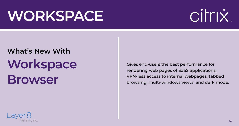#### **What's New With Workspace Browser**



Gives end-users the best performance for rendering web pages of SaaS applications, VPN-less access to internal webpages, tabbed browsing, multi-windows views, and dark mode.

## Citrix.

### **WORKSPACE**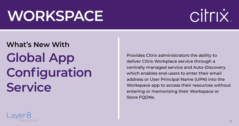#### **What's New With Global App Configuration Service**



Provides Citrix administrators the ability to deliver Citrix Workplace service through a centrally managed service and Auto-Discovery which enables end-users to enter their email address or User Principal Name (UPN) into the Workspace app to access their resources without entering or memorizing their Workspace or Store FQDNs.

# Cirrix.

- 
- 
- 
- 
- 
- 
- 

### **WORKSPACE**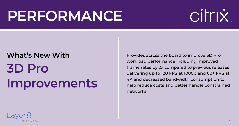#### <span id="page-22-0"></span>**What's New With 3D Pro Improvements**



Provides across the board to improve 3D Pro workload performance including improved frame rates by 2x compared to previous releases delivering up to 120 FPS at 1080p and 60+ FPS at 4K and decreased bandwidth consumption to help reduce costs and better handle constrained networks.

# Cirrix.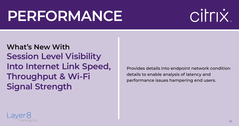**What's New With Session Level Visibility Into Internet Link Speed, Throughput & Wi-Fi Signal Strength**

Provides details into endpoint network condition details to enable analysis of latency and performance issues hampering end users.



## Cirrix.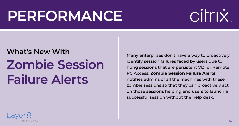#### **What's New With Zombie Session Failure Alerts**



Many enterprises don't have a way to proactively identify session failures faced by users due to hung sessions that are persistent VDI or Remote PC Access. **Zombie Session Failure Alerts** notifies admins of all the machines with these zombie sessions so that they can proactively act on those sessions helping end users to launch a successful session without the help desk.

# Cirrix.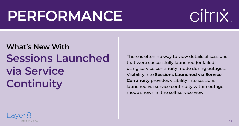#### **What's New With Sessions Launched via Service Continuity**



There is often no way to view details of sessions that were successfully launched (or failed) using service continuity mode during outages. Visibility into **Sessions Launched via Service Continuity** provides visibility into sessions launched via service continuity within outage mode shown in the self-service view.

# Cirrix.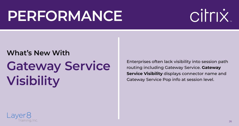#### **What's New With Gateway Service Visibility**



Enterprises often lack visibility into session path routing including Gateway Service. **Gateway Service Visibility** displays connector name and Gateway Service Pop info at session level.

## Cirrix.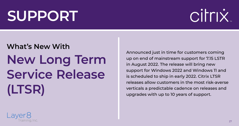#### **What's New With New Long Term Service Release (LTSR)**



Announced just in time for customers coming up on end of mainstream support for 7.15 LSTR in August 2022. The release will bring new support for Windows 2022 and Windows 11 and is scheduled to ship in early 2022. Citrix LTSR releases allow customers in the most risk-averse verticals a predictable cadence on releases and upgrades with up to 10 years of support.

# Cirrix.

#### <span id="page-27-0"></span>**SUPPORT**